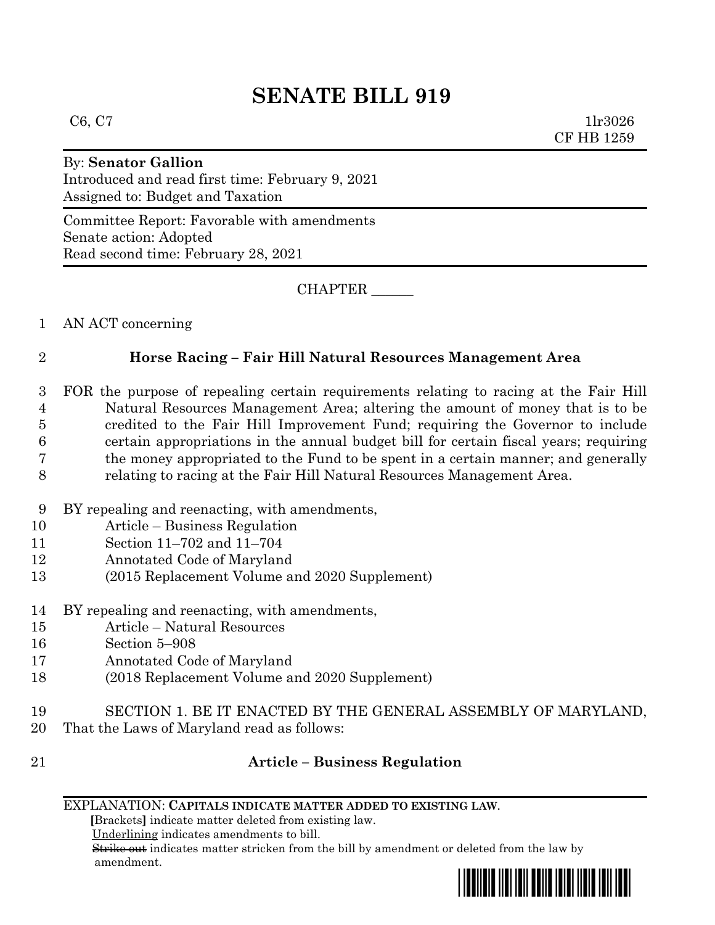# **SENATE BILL 919**

 $C6, C7$  1lr3026 CF HB 1259

# By: **Senator Gallion**

Introduced and read first time: February 9, 2021 Assigned to: Budget and Taxation

Committee Report: Favorable with amendments Senate action: Adopted Read second time: February 28, 2021

CHAPTER \_\_\_\_\_\_

1 AN ACT concerning

# 2 **Horse Racing – Fair Hill Natural Resources Management Area**

- 3 FOR the purpose of repealing certain requirements relating to racing at the Fair Hill 4 Natural Resources Management Area; altering the amount of money that is to be 5 credited to the Fair Hill Improvement Fund; requiring the Governor to include 6 certain appropriations in the annual budget bill for certain fiscal years; requiring 7 the money appropriated to the Fund to be spent in a certain manner; and generally 8 relating to racing at the Fair Hill Natural Resources Management Area.
- 9 BY repealing and reenacting, with amendments,
- 10 Article Business Regulation
- 11 Section 11–702 and 11–704
- 12 Annotated Code of Maryland
- 13 (2015 Replacement Volume and 2020 Supplement)
- 14 BY repealing and reenacting, with amendments,
- 15 Article Natural Resources
- 16 Section 5–908
- 17 Annotated Code of Maryland
- 18 (2018 Replacement Volume and 2020 Supplement)
- 19 SECTION 1. BE IT ENACTED BY THE GENERAL ASSEMBLY OF MARYLAND, 20 That the Laws of Maryland read as follows:
- 

# 21 **Article – Business Regulation**

### EXPLANATION: **CAPITALS INDICATE MATTER ADDED TO EXISTING LAW**.

 **[**Brackets**]** indicate matter deleted from existing law.

Underlining indicates amendments to bill.

 Strike out indicates matter stricken from the bill by amendment or deleted from the law by amendment.

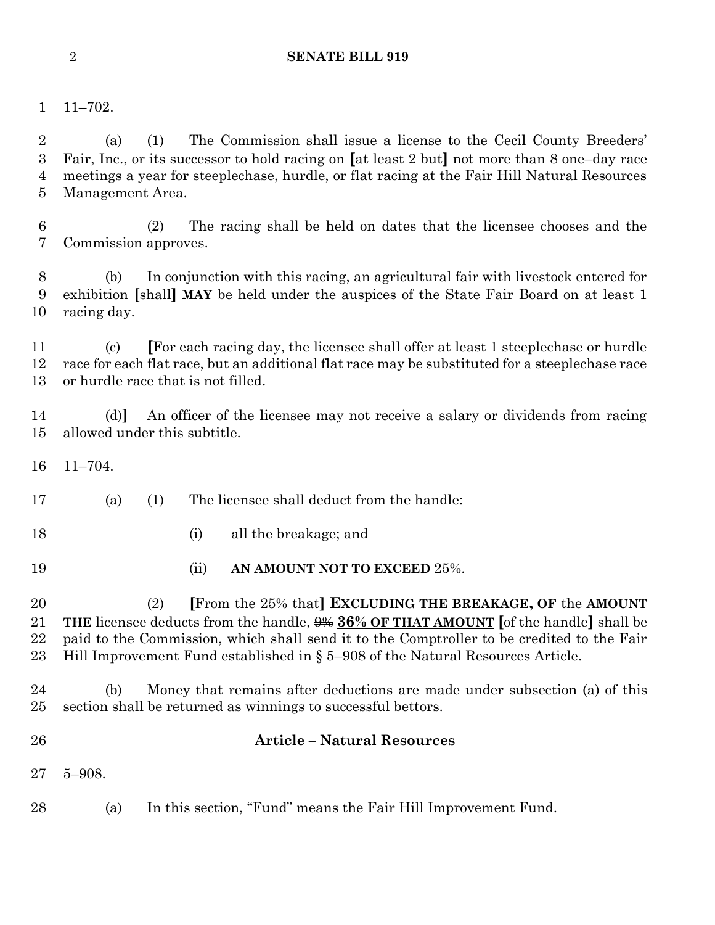## **SENATE BILL 919**

11–702.

 (a) (1) The Commission shall issue a license to the Cecil County Breeders' Fair, Inc., or its successor to hold racing on **[**at least 2 but**]** not more than 8 one–day race meetings a year for steeplechase, hurdle, or flat racing at the Fair Hill Natural Resources Management Area.

 (2) The racing shall be held on dates that the licensee chooses and the Commission approves.

 (b) In conjunction with this racing, an agricultural fair with livestock entered for exhibition **[**shall**] MAY** be held under the auspices of the State Fair Board on at least 1 racing day.

 (c) **[**For each racing day, the licensee shall offer at least 1 steeplechase or hurdle race for each flat race, but an additional flat race may be substituted for a steeplechase race or hurdle race that is not filled.

 (d)**]** An officer of the licensee may not receive a salary or dividends from racing allowed under this subtitle.

11–704.

- (a) (1) The licensee shall deduct from the handle:
- (i) all the breakage; and
- (ii) **AN AMOUNT NOT TO EXCEED** 25%.

 (2) **[**From the 25% that**] EXCLUDING THE BREAKAGE, OF** the **AMOUNT THE** licensee deducts from the handle, 9% **36% OF THAT AMOUNT [**of the handle**]** shall be paid to the Commission, which shall send it to the Comptroller to be credited to the Fair Hill Improvement Fund established in § 5–908 of the Natural Resources Article.

 (b) Money that remains after deductions are made under subsection (a) of this section shall be returned as winnings to successful bettors.

- 
- **Article – Natural Resources**
- 5–908.
- (a) In this section, "Fund" means the Fair Hill Improvement Fund.